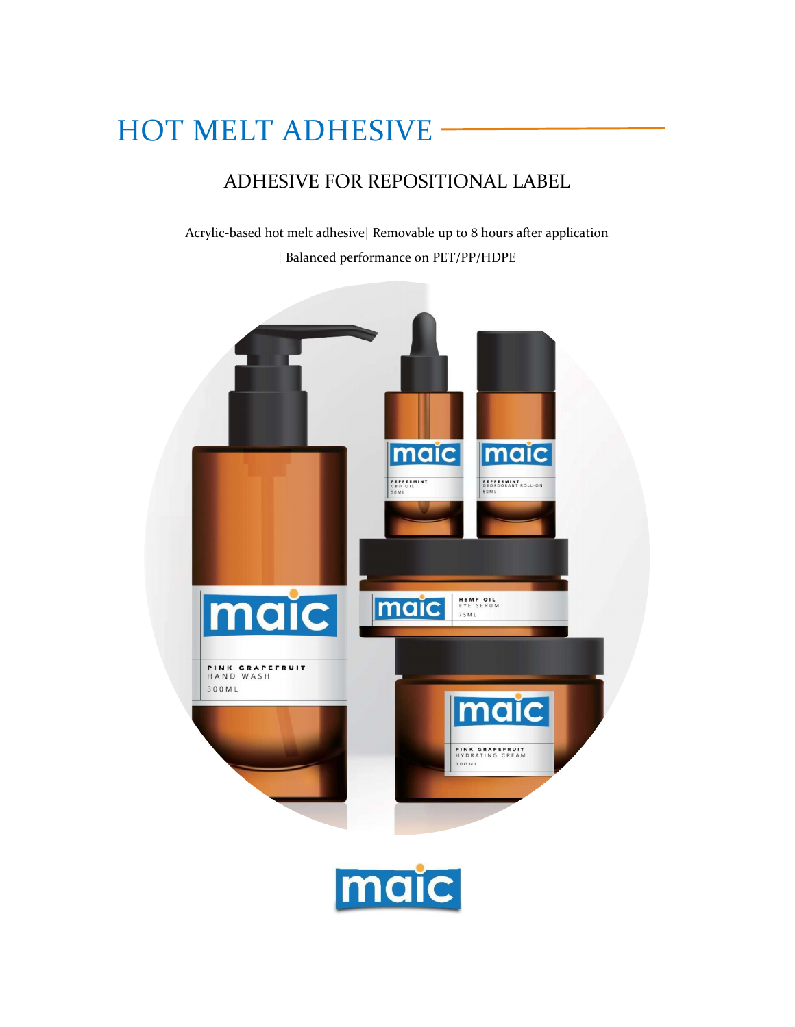# HOT MELT ADHESIVE

# ADHESIVE FOR REPOSITIONAL LABEL

Acrylic-based hot melt adhesive| Removable up to 8 hours after application | Balanced performance on PET/PP/HDPE